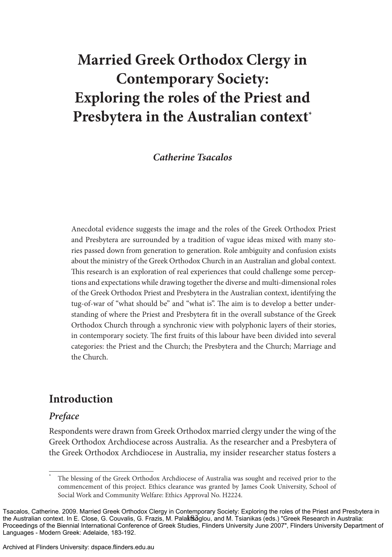# **Married Greek Orthodox Clergy in Contemporary Society: Exploring the roles of the Priest and Presbytera in the Australian context\***

## *Catherine Tsacalos*

Anecdotal evidence suggests the image and the roles of the Greek Orthodox Priest and Presbytera are surrounded by a tradition of vague ideas mixed with many stories passed down from generation to generation. Role ambiguity and confusion exists about the ministry of the Greek Orthodox Church in an Australian and global context. This research is an exploration of real experiences that could challenge some perceptions and expectations while drawing together the diverse and multi-dimensional roles of the Greek Orthodox Priest and Presbytera in the Australian context, identifying the tug-of-war of "what should be" and "what is". The aim is to develop a better understanding of where the Priest and Presbytera fit in the overall substance of the Greek Orthodox Church through a synchronic view with polyphonic layers of their stories, in contemporary society. The first fruits of this labour have been divided into several categories: the Priest and the Church; the Presbytera and the Church; Marriage and the Church.

## **Introduction**

### *Preface*

Respondents were drawn from Greek Orthodox married clergy under the wing of the Greek Orthodox Archdiocese across Australia. As the researcher and a Presbytera of the Greek Orthodox Archdiocese in Australia, my insider researcher status fosters a

Archived at Flinders University: dspace.flinders.edu.au

The blessing of the Greek Orthodox Archdiocese of Australia was sought and received prior to the commencement of this project. Ethics clearance was granted by James Cook University, School of Social Work and Community Welfare: Ethics Approval No. H2224.

the Australian context. In E. Close, G. Couvalis, G. Frazis, M. PalaktSoglou, and M. Tsianikas (eds.) "Greek Research in Australia: Tsacalos, Catherine. 2009. Married Greek Orthodox Clergy in Contemporary Society: Exploring the roles of the Priest and Presbytera in Proceedings of the Biennial International Conference of Greek Studies, Flinders University June 2007", Flinders University Department of Languages - Modern Greek: Adelaide, 183-192.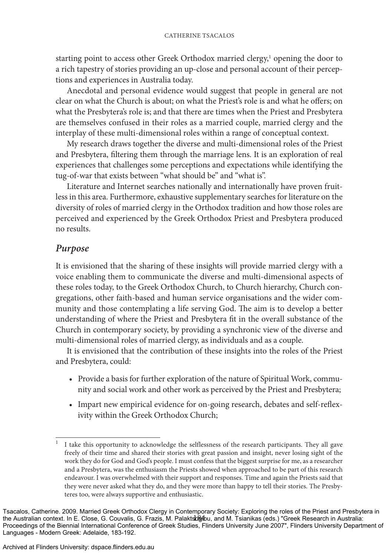starting point to access other Greek Orthodox married clergy,<sup>1</sup> opening the door to a rich tapestry of stories providing an up-close and personal account of their perceptions and experiences in Australia today.

Anecdotal and personal evidence would suggest that people in general are not clear on what the Church is about; on what the Priest's role is and what he offers; on what the Presbytera's role is; and that there are times when the Priest and Presbytera are themselves confused in their roles as a married couple, married clergy and the interplay of these multi-dimensional roles within a range of conceptual context.

My research draws together the diverse and multi-dimensional roles of the Priest and Presbytera, filtering them through the marriage lens. It is an exploration of real experiences that challenges some perceptions and expectations while identifying the tug-of-war that exists between "what should be" and "what is".

Literature and Internet searches nationally and internationally have proven fruitless in this area. Furthermore, exhaustive supplementary searches for literature on the diversity of roles of married clergy in the Orthodox tradition and how those roles are perceived and experienced by the Greek Orthodox Priest and Presbytera produced no results.

### *Purpose*

It is envisioned that the sharing of these insights will provide married clergy with a voice enabling them to communicate the diverse and multi-dimensional aspects of these roles today, to the Greek Orthodox Church, to Church hierarchy, Church congregations, other faith-based and human service organisations and the wider community and those contemplating a life serving God. The aim is to develop a better understanding of where the Priest and Presbytera fit in the overall substance of the Church in contemporary society, by providing a synchronic view of the diverse and multi-dimensional roles of married clergy, as individuals and as a couple.

It is envisioned that the contribution of these insights into the roles of the Priest and Presbytera, could:

- Provide a basis for further exploration of the nature of Spiritual Work, community and social work and other work as perceived by the Priest and Presbytera;
- Impart new empirical evidence for on-going research, debates and self-reflexivity within the Greek Orthodox Church;

<sup>1</sup> I take this opportunity to acknowledge the selflessness of the research participants. They all gave freely of their time and shared their stories with great passion and insight, never losing sight of the work they do for God and God's people. I must confess that the biggest surprise for me, as a researcher and a Presbytera, was the enthusiasm the Priests showed when approached to be part of this research endeavour. I was overwhelmed with their support and responses. Time and again the Priests said that they were never asked what they do, and they were more than happy to tell their stories. The Presbyteres too, were always supportive and enthusiastic.

the Australian context. In E. Close, G. Couvalis, G. Frazis, M. Palaktsb@bu, and M. Tsianikas (eds.) "Greek Research in Australia: Tsacalos, Catherine. 2009. Married Greek Orthodox Clergy in Contemporary Society: Exploring the roles of the Priest and Presbytera in Proceedings of the Biennial International Conference of Greek Studies, Flinders University June 2007", Flinders University Department of Languages - Modern Greek: Adelaide, 183-192.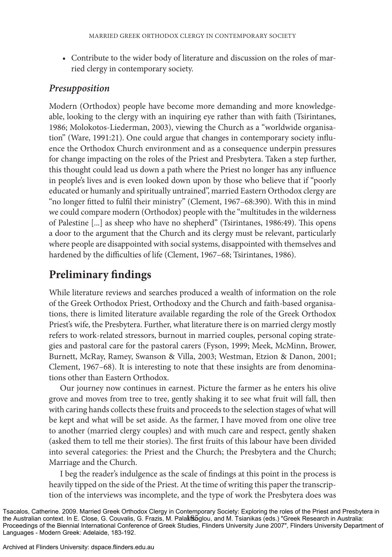Contribute to the wider body of literature and discussion on the roles of mar-• ried clergy in contemporary society.

## *Presupposition*

Modern (Orthodox) people have become more demanding and more knowledgeable, looking to the clergy with an inquiring eye rather than with faith (Tsirintanes, 1986; Molokotos-Liederman, 2003), viewing the Church as a "worldwide organisation" (Ware, 1991:21). One could argue that changes in contemporary society influence the Orthodox Church environment and as a consequence underpin pressures for change impacting on the roles of the Priest and Presbytera. Taken a step further, this thought could lead us down a path where the Priest no longer has any influence in people's lives and is even looked down upon by those who believe that if "poorly educated or humanly and spiritually untrained", married Eastern Orthodox clergy are "no longer fitted to fulfil their ministry" (Clement, 1967–68:390). With this in mind we could compare modern (Orthodox) people with the "multitudes in the wilderness of Palestine [...] as sheep who have no shepherd" (Tsirintanes, 1986:49). This opens a door to the argument that the Church and its clergy must be relevant, particularly where people are disappointed with social systems, disappointed with themselves and hardened by the difficulties of life (Clement, 1967-68; Tsirintanes, 1986).

## **Preliminary findings**

While literature reviews and searches produced a wealth of information on the role of the Greek Orthodox Priest, Orthodoxy and the Church and faith-based organisations, there is limited literature available regarding the role of the Greek Orthodox Priest's wife, the Presbytera. Further, what literature there is on married clergy mostly refers to work-related stressors, burnout in married couples, personal coping strategies and pastoral care for the pastoral carers (Fyson, 1999; Meek, McMinn, Brower, Burnett, McRay, Ramey, Swanson & Villa, 2003; Westman, Etzion & Danon, 2001; Clement, 1967–68). It is interesting to note that these insights are from denominations other than Eastern Orthodox.

Our journey now continues in earnest. Picture the farmer as he enters his olive grove and moves from tree to tree, gently shaking it to see what fruit will fall, then with caring hands collects these fruits and proceeds to the selection stages of what will be kept and what will be set aside. As the farmer, I have moved from one olive tree to another (married clergy couples) and with much care and respect, gently shaken (asked them to tell me their stories). The first fruits of this labour have been divided into several categories: the Priest and the Church; the Presbytera and the Church; Marriage and the Church.

I beg the reader's indulgence as the scale of findings at this point in the process is heavily tipped on the side of the Priest. At the time of writing this paper the transcription of the interviews was incomplete, and the type of work the Presbytera does was

the Australian context. In E. Close, G. Couvalis, G. Frazis, M. PalaktSoglou, and M. Tsianikas (eds.) "Greek Research in Australia: Tsacalos, Catherine. 2009. Married Greek Orthodox Clergy in Contemporary Society: Exploring the roles of the Priest and Presbytera in Proceedings of the Biennial International Conference of Greek Studies, Flinders University June 2007", Flinders University Department of Languages - Modern Greek: Adelaide, 183-192.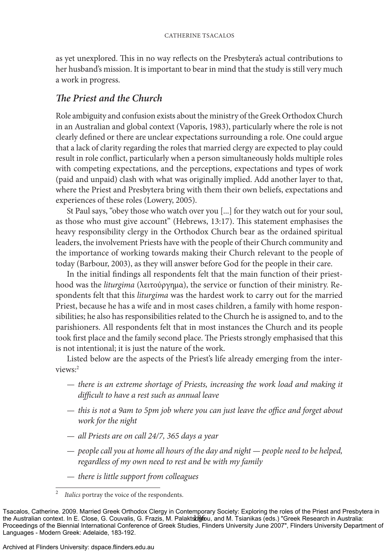as yet unexplored. This in no way reflects on the Presbytera's actual contributions to her husband's mission. It is important to bear in mind that the study is still very much a work in progress.

## *The Priest and the Church*

Role ambiguity and confusion exists about the ministry of the Greek Orthodox Church in an Australian and global context (Vaporis, 1983), particularly where the role is not clearly defined or there are unclear expectations surrounding a role. One could argue that a lack of clarity regarding the roles that married clergy are expected to play could result in role conflict, particularly when a person simultaneously holds multiple roles with competing expectations, and the perceptions, expectations and types of work (paid and unpaid) clash with what was originally implied. Add another layer to that, where the Priest and Presbytera bring with them their own beliefs, expectations and experiences of these roles (Lowery, 2005).

St Paul says, "obey those who watch over you [...] for they watch out for your soul, as those who must give account" (Hebrews, 13:17). This statement emphasises the heavy responsibility clergy in the Orthodox Church bear as the ordained spiritual leaders, the involvement Priests have with the people of their Church community and the importance of working towards making their Church relevant to the people of today (Barbour, 2003), as they will answer before God for the people in their care.

In the initial findings all respondents felt that the main function of their priesthood was the *liturgima* (λειτούργηµα), the service or function of their ministry. Respondents felt that this *liturgima* was the hardest work to carry out for the married Priest, because he has a wife and in most cases children, a family with home responsibilities; he also has responsibilities related to the Church he is assigned to, and to the parishioners. All respondents felt that in most instances the Church and its people took first place and the family second place. The Priests strongly emphasised that this is not intentional; it is just the nature of the work.

Listed below are the aspects of the Priest's life already emerging from the interviews:2

- *there is an extreme shortage of Priests, increasing the work load and making it difficult to have a rest such as annual leave*
- *this is not a 9am to 5pm job where you can just leave the office and forget about work for the night*
- *all Priests are on call 24/7, 365 days a year* —
- *people call you at home all hours of the day and night people need to be helped, regardless of my own need to rest and be with my family*
- *there is little support from colleagues* —

<sup>2</sup> *Italics* portray the voice of the respondents.

the Australian context. In E. Close, G. Couvalis, G. Frazis, M. Palaktsbofou, and M. Tsianikas (eds.) "Greek Research in Australia: Tsacalos, Catherine. 2009. Married Greek Orthodox Clergy in Contemporary Society: Exploring the roles of the Priest and Presbytera in Proceedings of the Biennial International Conference of Greek Studies, Flinders University June 2007", Flinders University Department of Languages - Modern Greek: Adelaide, 183-192.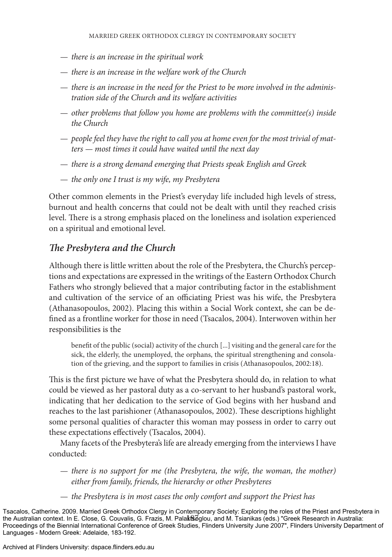- *there is an increase in the spiritual work*  —
- *there is an increase in the welfare work of the Church* —
- *there is an increase in the need for the Priest to be more involved in the adminis- tration side of the Church and its welfare activities*
- *other problems that follow you home are problems with the committee(s) inside the Church*
- *people feel they have the right to call you at home even for the most trivial of mat- ters — most times it could have waited until the next day*
- *there is a strong demand emerging that Priests speak English and Greek* —
- *the only one I trust is my wife, my Presbytera* —

Other common elements in the Priest's everyday life included high levels of stress, burnout and health concerns that could not be dealt with until they reached crisis level. There is a strong emphasis placed on the loneliness and isolation experienced on a spiritual and emotional level.

## *The Presbytera and the Church*

Although there is little written about the role of the Presbytera, the Church's perceptions and expectations are expressed in the writings of the Eastern Orthodox Church Fathers who strongly believed that a major contributing factor in the establishment and cultivation of the service of an officiating Priest was his wife, the Presbytera (Athanasopoulos, 2002). Placing this within a Social Work context, she can be defined as a frontline worker for those in need (Tsacalos, 2004). Interwoven within her responsibilities is the

benefit of the public (social) activity of the church [...] visiting and the general care for the sick, the elderly, the unemployed, the orphans, the spiritual strengthening and consolation of the grieving, and the support to families in crisis (Athanasopoulos, 2002:18).

This is the first picture we have of what the Presbytera should do, in relation to what could be viewed as her pastoral duty as a co-servant to her husband's pastoral work, indicating that her dedication to the service of God begins with her husband and reaches to the last parishioner (Athanasopoulos, 2002). These descriptions highlight some personal qualities of character this woman may possess in order to carry out these expectations effectively (Tsacalos, 2004).

Many facets of the Presbytera's life are already emerging from the interviews I have conducted:

- *there is no support for me (the Presbytera, the wife, the woman, the mother) either from family, friends, the hierarchy or other Presbyteres*
- *the Presbytera is in most cases the only comfort and support the Priest has* —

the Australian context. In E. Close, G. Couvalis, G. Frazis, M. PalaktSoglou, and M. Tsianikas (eds.) "Greek Research in Australia: Tsacalos, Catherine. 2009. Married Greek Orthodox Clergy in Contemporary Society: Exploring the roles of the Priest and Presbytera in Proceedings of the Biennial International Conference of Greek Studies, Flinders University June 2007", Flinders University Department of Languages - Modern Greek: Adelaide, 183-192.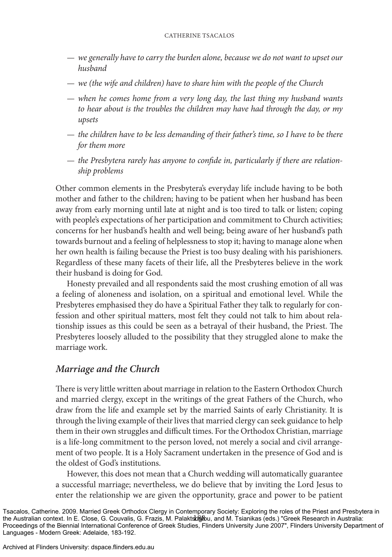- *we generally have to carry the burden alone, because we do not want to upset our husband*
- *we (the wife and children) have to share him with the people of the Church* —
- *when he comes home from a very long day, the last thing my husband wants to hear about is the troubles the children may have had through the day, or my upsets*
- *the children have to be less demanding of their father's time, so I have to be there for them more*
- *the Presbytera rarely has anyone to confide in, particularly if there are relation- ship problems*

Other common elements in the Presbytera's everyday life include having to be both mother and father to the children; having to be patient when her husband has been away from early morning until late at night and is too tired to talk or listen; coping with people's expectations of her participation and commitment to Church activities; concerns for her husband's health and well being; being aware of her husband's path towards burnout and a feeling of helplessness to stop it; having to manage alone when her own health is failing because the Priest is too busy dealing with his parishioners. Regardless of these many facets of their life, all the Presbyteres believe in the work their husband is doing for God.

Honesty prevailed and all respondents said the most crushing emotion of all was a feeling of aloneness and isolation, on a spiritual and emotional level. While the Presbyteres emphasised they do have a Spiritual Father they talk to regularly for confession and other spiritual matters, most felt they could not talk to him about relationship issues as this could be seen as a betrayal of their husband, the Priest. The Presbyteres loosely alluded to the possibility that they struggled alone to make the marriage work.

## *Marriage and the Church*

There is very little written about marriage in relation to the Eastern Orthodox Church and married clergy, except in the writings of the great Fathers of the Church, who draw from the life and example set by the married Saints of early Christianity. It is through the living example of their lives that married clergy can seek guidance to help them in their own struggles and difficult times. For the Orthodox Christian, marriage is a life-long commitment to the person loved, not merely a social and civil arrangement of two people. It is a Holy Sacrament undertaken in the presence of God and is the oldest of God's institutions.

However, this does not mean that a Church wedding will automatically guarantee a successful marriage; nevertheless, we do believe that by inviting the Lord Jesus to enter the relationship we are given the opportunity, grace and power to be patient

the Australian context. In E. Close, G. Couvalis, G. Frazis, M. Palaktson ֆես, and M. Tsianikas (eds.) "Greek Research in Australia: Tsacalos, Catherine. 2009. Married Greek Orthodox Clergy in Contemporary Society: Exploring the roles of the Priest and Presbytera in Proceedings of the Biennial International Conference of Greek Studies, Flinders University June 2007", Flinders University Department of Languages - Modern Greek: Adelaide, 183-192.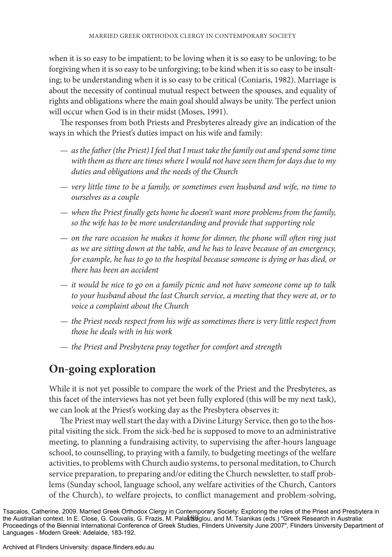when it is so easy to be impatient; to be loving when it is so easy to be unloving; to be forgiving when it is so easy to be unforgiving; to be kind when it is so easy to be insult ing; to be understanding when it is so easy to be critical (Coniaris, 1982). Marriage is about the necessity of continual mutual respect between the spouses, and equality of rights and obligations where the main goal should always be unity. The perfect union will occur when God is in their midst (Moses, 1991).

The responses from both Priests and Presbyteres already give an indication of the ways in which the Priest's duties impact on his wife and family:

- $-$  as the father (the Priest) I feel that I must take the family out and spend some time *with them as there are times where I would not have seen them for days due to my duties and obligations and the needs of the Church*
- *very little time to be a family, or sometimes even husband and wife, no time to ourselves as a couple*
- *when the Priest finally gets home he doesn't want more problems from the family, so the wife has to be more understanding and provide that supporting role*
- *on the rare occasion he makes it home for dinner, the phone will often ring just as we are sitting down at the table, and he has to leave because of an emergency, for example, he has to go to the hospital because someone is dying or has died, or there has been an accident*
- *it would be nice to go on a family picnic and not have someone come up to talk*  to your husband about the last Church service, a meeting that they were at, or to *voice a complaint about the Church*
- $-$  the Priest needs respect from his wife as sometimes there is very little respect from *those he deals with in his work*
- *the Priest and Presbytera pray together for comfort and strength* —

## **On-going exploration**

While it is not yet possible to compare the work of the Priest and the Presbyteres, as this facet of the interviews has not yet been fully explored (this will be my next task), we can look at the Priest's working day as the Presbytera observes it:

The Priest may well start the day with a Divine Liturgy Service, then go to the hospital visiting the sick. From the sick-bed he is supposed to move to an administrative meeting, to planning a fundraising activity, to supervising the after-hours language school, to counselling, to praying with a family, to budgeting meetings of the welfare activities, to problems with Church audio systems, to personal meditation, to Church service preparation, to preparing and/or editing the Church newsletter, to staff problems (Sunday school, language school, any welfare activities of the Church, Cantors of the Church), to welfare projects, to conflict management and problem-solving,

the Australian context. In E. Close, G. Couvalis, G. Frazis, M. PalaktSoglou, and M. Tsianikas (eds.) "Greek Research in Australia: Tsacalos, Catherine. 2009. Married Greek Orthodox Clergy in Contemporary Society: Exploring the roles of the Priest and Presbytera in Proceedings of the Biennial International Conference of Greek Studies, Flinders University June 2007", Flinders University Department of Languages - Modern Greek: Adelaide, 183-192.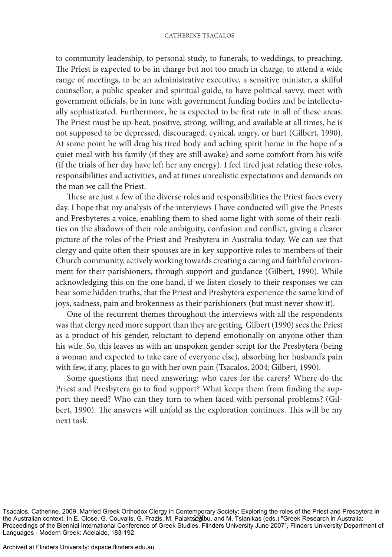#### Catherine Tsacalos

to community leadership, to personal study, to funerals, to weddings, to preaching. The Priest is expected to be in charge but not too much in charge, to attend a wide range of meetings, to be an administrative executive, a sensitive minister, a skilful counsellor, a public speaker and spiritual guide, to have political savvy, meet with government officials, be in tune with government funding bodies and be intellectually sophisticated. Furthermore, he is expected to be first rate in all of these areas. The Priest must be up-beat, positive, strong, willing, and available at all times, he is not supposed to be depressed, discouraged, cynical, angry, or hurt (Gilbert, 1990). At some point he will drag his tired body and aching spirit home in the hope of a quiet meal with his family (if they are still awake) and some comfort from his wife (if the trials of her day have left her any energy). I feel tired just relating these roles, responsibilities and activities, and at times unrealistic expectations and demands on the man we call the Priest.

These are just a few of the diverse roles and responsibilities the Priest faces every day. I hope that my analysis of the interviews I have conducted will give the Priests and Presbyteres a voice, enabling them to shed some light with some of their realities on the shadows of their role ambiguity, confusion and conflict, giving a clearer picture of the roles of the Priest and Presbytera in Australia today. We can see that clergy and quite often their spouses are in key supportive roles to members of their Church community, actively working towards creating a caring and faithful environment for their parishioners, through support and guidance (Gilbert, 1990). While acknowledging this on the one hand, if we listen closely to their responses we can hear some hidden truths, that the Priest and Presbytera experience the same kind of joys, sadness, pain and brokenness as their parishioners (but must never show it).

One of the recurrent themes throughout the interviews with all the respondents was that clergy need more support than they are getting. Gilbert (1990) sees the Priest as a product of his gender, reluctant to depend emotionally on anyone other than his wife. So, this leaves us with an unspoken gender script for the Presbytera (being a woman and expected to take care of everyone else), absorbing her husband's pain with few, if any, places to go with her own pain (Tsacalos, 2004; Gilbert, 1990).

Some questions that need answering: who cares for the carers? Where do the Priest and Presbytera go to find support? What keeps them from finding the support they need? Who can they turn to when faced with personal problems? (Gilbert, 1990). The answers will unfold as the exploration continues. This will be my next task.

the Australian context. In E. Close, G. Couvalis, G. Frazis, M. Palaktsoglou, and M. Tsianikas (eds.) "Greek Research in Australia: Tsacalos, Catherine. 2009. Married Greek Orthodox Clergy in Contemporary Society: Exploring the roles of the Priest and Presbytera in Proceedings of the Biennial International Conference of Greek Studies, Flinders University June 2007", Flinders University Department of Languages - Modern Greek: Adelaide, 183-192.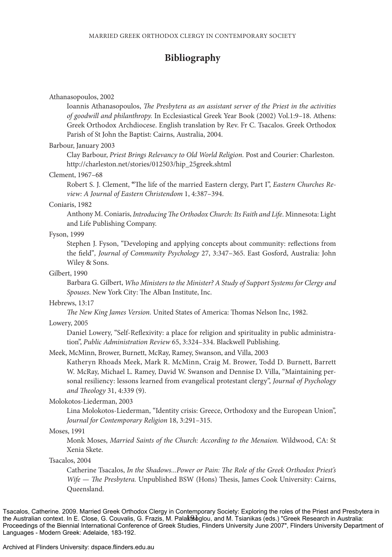## **Bibliography**

#### Athanasopoulos, 2002

Ioannis Athanasopoulos, *The Presbytera as an assistant server of the Priest in the activities of goodwill and philanthropy.* In Ecclesiastical Greek Year Book (2002) Vol.1:9–18. Athens: Greek Orthodox Archdiocese. English translation by Rev. Fr C. Tsacalos. Greek Orthodox Parish of St John the Baptist: Cairns, Australia, 2004.

#### Barbour, January 2003

Clay Barbour, *Priest Brings Relevancy to Old World Religion.* Post and Courier: Charleston. http://charleston.net/stories/012503/hip\_25greek.shtml

#### Clement, 1967–68

Robert S. J. Clement, **"**The life of the married Eastern clergy, Part I", *Eastern Churches Review: A Journal of Eastern Christendom* 1, 4:387–394.

#### Coniaris, 1982

Anthony M. Coniaris, *Introducing The Orthodox Church: Its Faith and Life*. Minnesota: Light and Life Publishing Company.

#### Fyson, 1999

Stephen J. Fyson, "Developing and applying concepts about community: reflections from the field"*, Journal of Community Psychology* 27, 3:347–365. East Gosford, Australia: John Wiley & Sons.

#### Gilbert, 1990

Barbara G. Gilbert, *Who Ministers to the Minister? A Study of Support Systems for Clergy and Spouses*. New York City: The Alban Institute, Inc.

#### Hebrews, 13:17

*The New King James Version.* United States of America: Thomas Nelson Inc, 1982.

#### Lowery, 2005

Daniel Lowery, "Self-Reflexivity: a place for religion and spirituality in public administration", *Public Administration Review* 65, 3:324–334. Blackwell Publishing.

#### Meek, McMinn, Brower, Burnett, McRay, Ramey, Swanson, and Villa, 2003

Katheryn Rhoads Meek, Mark R. McMinn, Craig M. Brower, Todd D. Burnett, Barrett W. McRay, Michael L. Ramey, David W. Swanson and Dennise D. Villa, "Maintaining personal resiliency: lessons learned from evangelical protestant clergy", *Journal of Psychology and Theology* 31, 4:339 (9).

#### Molokotos-Liederman, 2003

Lina Molokotos-Liederman, "Identity crisis: Greece, Orthodoxy and the European Union", *Journal for Contemporary Religion* 18, 3:291–315.

#### Moses, 1991

Monk Moses, *Married Saints of the Church: According to the Menaion.* Wildwood, CA: St Xenia Skete.

Tsacalos, 2004

Catherine Tsacalos, *In the Shadows...Power or Pain: The Role of the Greek Orthodox Priest's Wife — The Presbytera.* Unpublished BSW (Hons) Thesis, James Cook University: Cairns, Queensland.

the Australian context. In E. Close, G. Couvalis, G. Frazis, M. Palaktsoglou, and M. Tsianikas (eds.) "Greek Research in Australia: Tsacalos, Catherine. 2009. Married Greek Orthodox Clergy in Contemporary Society: Exploring the roles of the Priest and Presbytera in Proceedings of the Biennial International Conference of Greek Studies, Flinders University June 2007", Flinders University Department of Languages - Modern Greek: Adelaide, 183-192.

#### Archived at Flinders University: dspace.flinders.edu.au